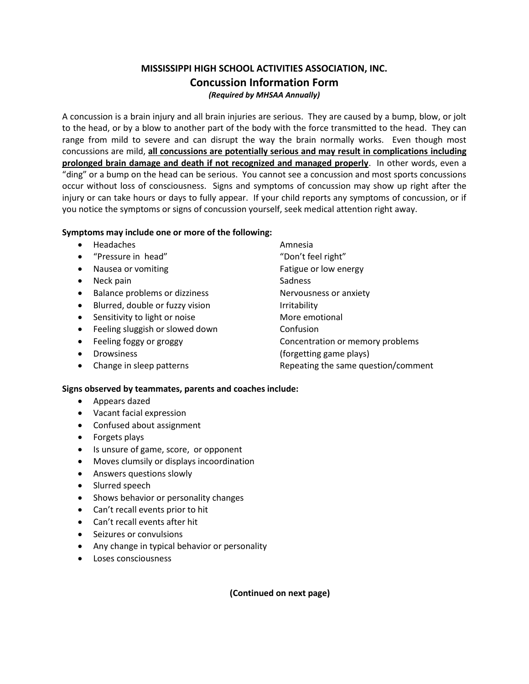# **MISSISSIPPI HIGH SCHOOL ACTIVITIES ASSOCIATION, INC. Concussion Information Form** *(Required by MHSAA Annually)*

A concussion is a brain injury and all brain injuries are serious. They are caused by a bump, blow, or jolt to the head, or by a blow to another part of the body with the force transmitted to the head. They can range from mild to severe and can disrupt the way the brain normally works. Even though most concussions are mild, **all concussions are potentially serious and may result in complications including prolonged brain damage and death if not recognized and managed properly**. In other words, even a "ding" or a bump on the head can be serious. You cannot see a concussion and most sports concussions occur without loss of consciousness. Signs and symptoms of concussion may show up right after the injury or can take hours or days to fully appear. If your child reports any symptoms of concussion, or if you notice the symptoms or signs of concussion yourself, seek medical attention right away.

## **Symptoms may include one or more of the following:**

- Headaches **Amnesia**
- "Pressure in head" "Don't feel right"
- Nausea or vomiting example and the Fatigue or low energy
- Neck pain Sadness
- Balance problems or dizziness Nervousness or anxiety
- Blurred, double or fuzzy vision The Irritability
- Sensitivity to light or noise **More** emotional
- Feeling sluggish or slowed down Confusion
- Feeling foggy or groggy **Concentration or memory problems**
- 
- 
- 
- Drowsiness (forgetting game plays)
- Change in sleep patterns **Repeating the same question/comment**

### **Signs observed by teammates, parents and coaches include:**

- Appears dazed
- Vacant facial expression
- Confused about assignment
- Forgets plays
- Is unsure of game, score, or opponent
- Moves clumsily or displays incoordination
- Answers questions slowly
- Slurred speech
- Shows behavior or personality changes
- Can't recall events prior to hit
- Can't recall events after hit
- Seizures or convulsions
- Any change in typical behavior or personality
- Loses consciousness

**(Continued on next page)**